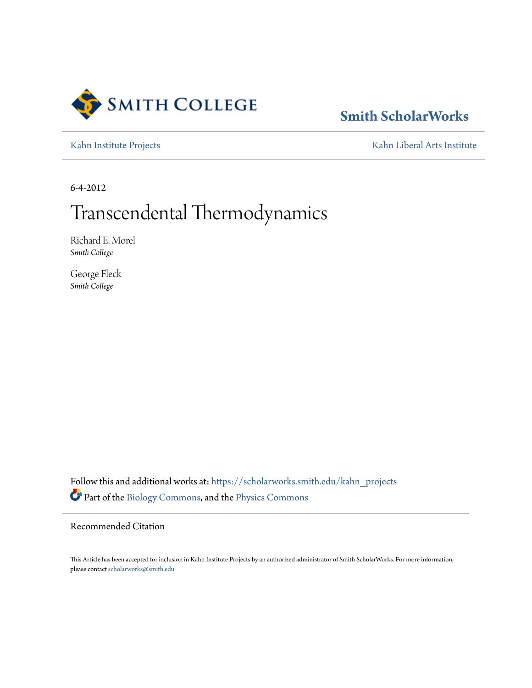

## **[Smith ScholarWorks](https://scholarworks.smith.edu/?utm_source=scholarworks.smith.edu%2Fkahn_projects%2F1&utm_medium=PDF&utm_campaign=PDFCoverPages)**

[Kahn Institute Projects](https://scholarworks.smith.edu/kahn_projects?utm_source=scholarworks.smith.edu%2Fkahn_projects%2F1&utm_medium=PDF&utm_campaign=PDFCoverPages) **[Kahn Liberal Arts Institute](https://scholarworks.smith.edu/kahn?utm_source=scholarworks.smith.edu%2Fkahn_projects%2F1&utm_medium=PDF&utm_campaign=PDFCoverPages)** 

6-4-2012

# Transcendental Thermodynamics

Richard E. Morel *Smith College*

George Fleck *Smith College*

Follow this and additional works at: [https://scholarworks.smith.edu/kahn\\_projects](https://scholarworks.smith.edu/kahn_projects?utm_source=scholarworks.smith.edu%2Fkahn_projects%2F1&utm_medium=PDF&utm_campaign=PDFCoverPages) Part of the [Biology Commons,](http://network.bepress.com/hgg/discipline/41?utm_source=scholarworks.smith.edu%2Fkahn_projects%2F1&utm_medium=PDF&utm_campaign=PDFCoverPages) and the [Physics Commons](http://network.bepress.com/hgg/discipline/193?utm_source=scholarworks.smith.edu%2Fkahn_projects%2F1&utm_medium=PDF&utm_campaign=PDFCoverPages)

Recommended Citation

This Article has been accepted for inclusion in Kahn Institute Projects by an authorized administrator of Smith ScholarWorks. For more information, please contact [scholarworks@smith.edu](mailto:scholarworks@smith.edu)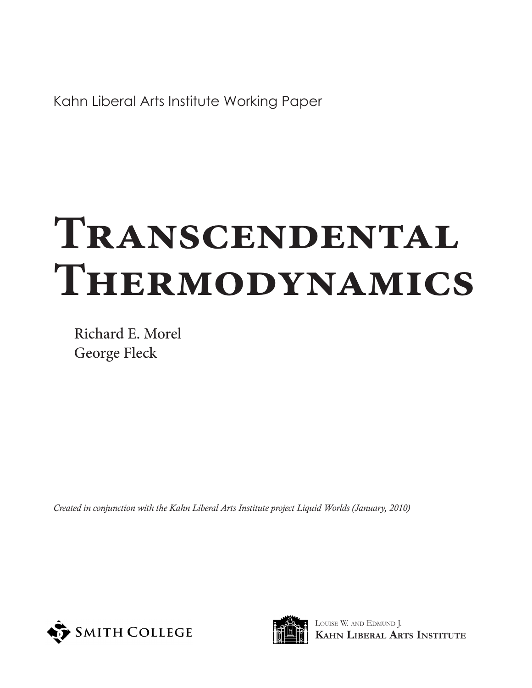Kahn Liberal Arts Institute Working Paper

# **Transcendental Thermodynamics**

Richard E. Morel George Fleck

*Created in conjunction with the Kahn Liberal Arts Institute project Liquid Worlds (January, 2010)*





Louise W. and Edmund J. **Kahn Liberal Arts Institute**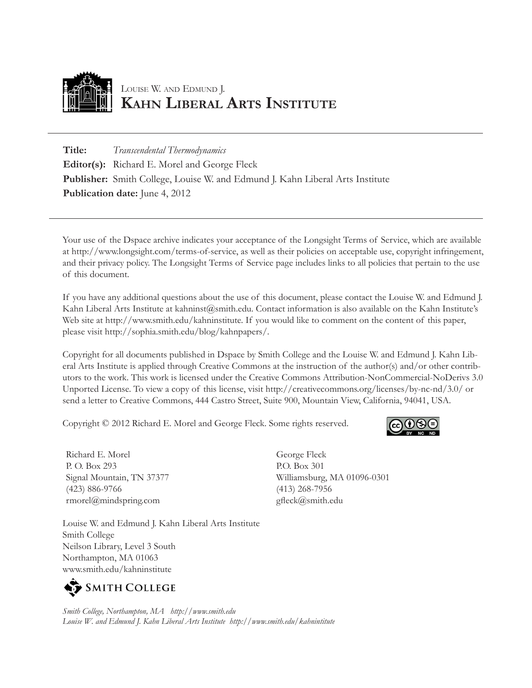

## Louise W. and Edmund J. **Kahn Liberal Arts Institute**

**Title:** *Transcendental Thermodynamics* **Editor(s):** Richard E. Morel and George Fleck **Publisher:** Smith College, Louise W. and Edmund J. Kahn Liberal Arts Institute **Publication date:** June 4, 2012

Your use of the Dspace archive indicates your acceptance of the Longsight Terms of Service, which are available at http://www.longsight.com/terms-of-service, as well as their policies on acceptable use, copyright infringement, and their privacy policy. The Longsight Terms of Service page includes links to all policies that pertain to the use of this document.

If you have any additional questions about the use of this document, please contact the Louise W. and Edmund J. Kahn Liberal Arts Institute at kahninst@smith.edu. Contact information is also available on the Kahn Institute's Web site at http://www.smith.edu/kahninstitute. If you would like to comment on the content of this paper, please visit http://sophia.smith.edu/blog/kahnpapers/.

Copyright for all documents published in Dspace by Smith College and the Louise W. and Edmund J. Kahn Liberal Arts Institute is applied through Creative Commons at the instruction of the author(s) and/or other contributors to the work. This work is licensed under the Creative Commons Attribution-NonCommercial-NoDerivs 3.0 Unported License. To view a copy of this license, visit http://creativecommons.org/licenses/by-nc-nd/3.0/ or send a letter to Creative Commons, 444 Castro Street, Suite 900, Mountain View, California, 94041, USA.

Copyright © 2012 Richard E. Morel and George Fleck. Some rights reserved.

Richard E. Morel P. O. Box 293 Signal Mountain, TN 37377 (423) 886-9766 rmorel@mindspring.com

Louise W. and Edmund J. Kahn Liberal Arts Institute Smith College Neilson Library, Level 3 South Northampton, MA 01063 www.smith.edu/kahninstitute



*Smith College, Northampton, MA http://www.smith.edu Louise W. and Edmund J. Kahn Liberal Arts Institute http://www.smith.edu/kahnintitute*



George Fleck P.O. Box 301 Williamsburg, MA 01096-0301 (413) 268-7956 gfleck@smith.edu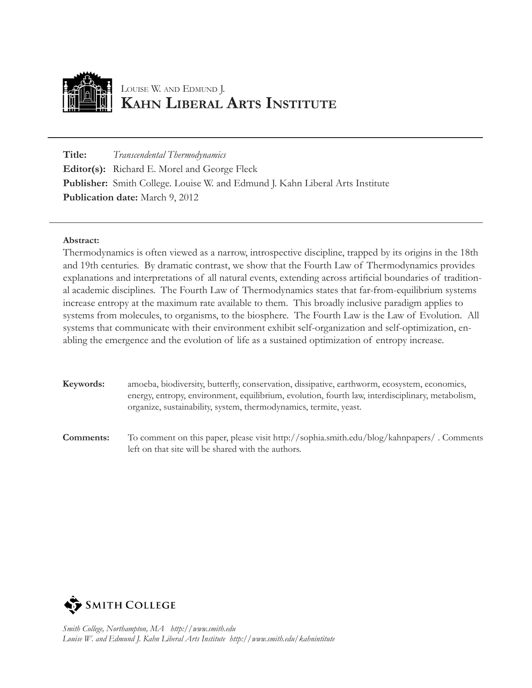

## Louise W. and Edmund J. **Kahn Liberal Arts Institute**

**Title:** *Transcendental Thermodynamics* **Editor(s):** Richard E. Morel and George Fleck **Publisher:** Smith College. Louise W. and Edmund J. Kahn Liberal Arts Institute **Publication date:** March 9, 2012

#### **Abstract:**

Thermodynamics is often viewed as a narrow, introspective discipline, trapped by its origins in the 18th and 19th centuries. By dramatic contrast, we show that the Fourth Law of Thermodynamics provides explanations and interpretations of all natural events, extending across artificial boundaries of traditional academic disciplines. The Fourth Law of Thermodynamics states that far-from-equilibrium systems increase entropy at the maximum rate available to them. This broadly inclusive paradigm applies to systems from molecules, to organisms, to the biosphere. The Fourth Law is the Law of Evolution. All systems that communicate with their environment exhibit self-organization and self-optimization, enabling the emergence and the evolution of life as a sustained optimization of entropy increase.

- **Keywords:** amoeba, biodiversity, butterfly, conservation, dissipative, earthworm, ecosystem, economics, energy, entropy, environment, equilibrium, evolution, fourth law, interdisciplinary, metabolism, organize, sustainability, system, thermodynamics, termite, yeast.
- **Comments:** To comment on this paper, please visit http://sophia.smith.edu/blog/kahnpapers/ . Comments left on that site will be shared with the authors.

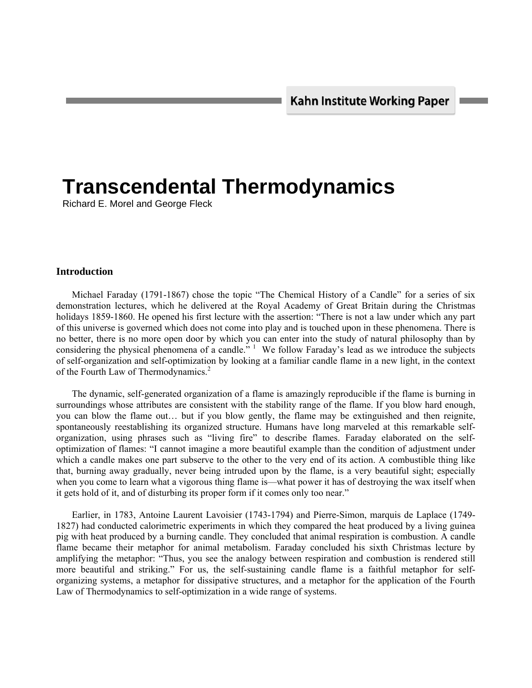## **Transcendental Thermodynamics**

Richard E. Morel and George Fleck

#### **Introduction**

 Michael Faraday (1791-1867) chose the topic "The Chemical History of a Candle" for a series of six demonstration lectures, which he delivered at the Royal Academy of Great Britain during the Christmas holidays 1859-1860. He opened his first lecture with the assertion: "There is not a law under which any part of this universe is governed which does not come into play and is touched upon in these phenomena. There is no better, there is no more open door by which you can enter into the study of natural philosophy than by considering the physical phenomena of a candle."  $\frac{1}{1}$  We follow Faraday's lead as we introduce the subjects of self-organization and self-optimization by looking at a familiar candle flame in a new light, in the context of the Fourth Law of Thermodynamics.<sup>2</sup>

 The dynamic, self-generated organization of a flame is amazingly reproducible if the flame is burning in surroundings whose attributes are consistent with the stability range of the flame. If you blow hard enough, you can blow the flame out… but if you blow gently, the flame may be extinguished and then reignite, spontaneously reestablishing its organized structure. Humans have long marveled at this remarkable selforganization, using phrases such as "living fire" to describe flames. Faraday elaborated on the selfoptimization of flames: "I cannot imagine a more beautiful example than the condition of adjustment under which a candle makes one part subserve to the other to the very end of its action. A combustible thing like that, burning away gradually, never being intruded upon by the flame, is a very beautiful sight; especially when you come to learn what a vigorous thing flame is—what power it has of destroying the wax itself when it gets hold of it, and of disturbing its proper form if it comes only too near."

 Earlier, in 1783, Antoine Laurent Lavoisier (1743-1794) and Pierre-Simon, marquis de Laplace (1749- 1827) had conducted calorimetric experiments in which they compared the heat produced by a living guinea pig with heat produced by a burning candle. They concluded that animal respiration is combustion. A candle flame became their metaphor for animal metabolism. Faraday concluded his sixth Christmas lecture by amplifying the metaphor: "Thus, you see the analogy between respiration and combustion is rendered still more beautiful and striking." For us, the self-sustaining candle flame is a faithful metaphor for selforganizing systems, a metaphor for dissipative structures, and a metaphor for the application of the Fourth Law of Thermodynamics to self-optimization in a wide range of systems.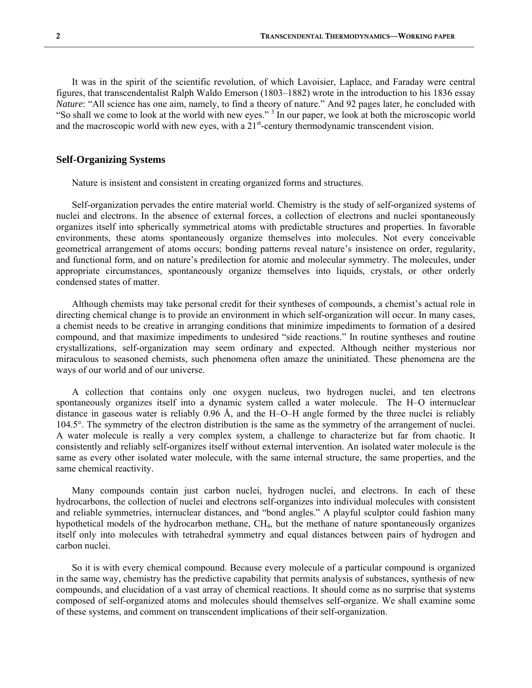It was in the spirit of the scientific revolution, of which Lavoisier, Laplace, and Faraday were central figures, that transcendentalist Ralph Waldo Emerson (1803–1882) wrote in the introduction to his 1836 essay *Nature*: "All science has one aim, namely, to find a theory of nature." And 92 pages later, he concluded with "So shall we come to look at the world with new eyes."<sup>3</sup> In our paper, we look at both the microscopic world and the macroscopic world with new eyes, with a  $21<sup>st</sup>$ -century thermodynamic transcendent vision.

#### **Self-Organizing Systems**

Nature is insistent and consistent in creating organized forms and structures.

 Self-organization pervades the entire material world. Chemistry is the study of self-organized systems of nuclei and electrons. In the absence of external forces, a collection of electrons and nuclei spontaneously organizes itself into spherically symmetrical atoms with predictable structures and properties. In favorable environments, these atoms spontaneously organize themselves into molecules. Not every conceivable geometrical arrangement of atoms occurs; bonding patterns reveal nature's insistence on order, regularity, and functional form, and on nature's predilection for atomic and molecular symmetry. The molecules, under appropriate circumstances, spontaneously organize themselves into liquids, crystals, or other orderly condensed states of matter.

 Although chemists may take personal credit for their syntheses of compounds, a chemist's actual role in directing chemical change is to provide an environment in which self-organization will occur. In many cases, a chemist needs to be creative in arranging conditions that minimize impediments to formation of a desired compound, and that maximize impediments to undesired "side reactions." In routine syntheses and routine crystallizations, self-organization may seem ordinary and expected. Although neither mysterious nor miraculous to seasoned chemists, such phenomena often amaze the uninitiated. These phenomena are the ways of our world and of our universe.

 A collection that contains only one oxygen nucleus, two hydrogen nuclei, and ten electrons spontaneously organizes itself into a dynamic system called a water molecule. The H–O internuclear distance in gaseous water is reliably 0.96 Å, and the H–O–H angle formed by the three nuclei is reliably 104.5°. The symmetry of the electron distribution is the same as the symmetry of the arrangement of nuclei. A water molecule is really a very complex system, a challenge to characterize but far from chaotic. It consistently and reliably self-organizes itself without external intervention. An isolated water molecule is the same as every other isolated water molecule, with the same internal structure, the same properties, and the same chemical reactivity.

 Many compounds contain just carbon nuclei, hydrogen nuclei, and electrons. In each of these hydrocarbons, the collection of nuclei and electrons self-organizes into individual molecules with consistent and reliable symmetries, internuclear distances, and "bond angles." A playful sculptor could fashion many hypothetical models of the hydrocarbon methane, CH4, but the methane of nature spontaneously organizes itself only into molecules with tetrahedral symmetry and equal distances between pairs of hydrogen and carbon nuclei.

 So it is with every chemical compound. Because every molecule of a particular compound is organized in the same way, chemistry has the predictive capability that permits analysis of substances, synthesis of new compounds, and elucidation of a vast array of chemical reactions. It should come as no surprise that systems composed of self-organized atoms and molecules should themselves self-organize. We shall examine some of these systems, and comment on transcendent implications of their self-organization.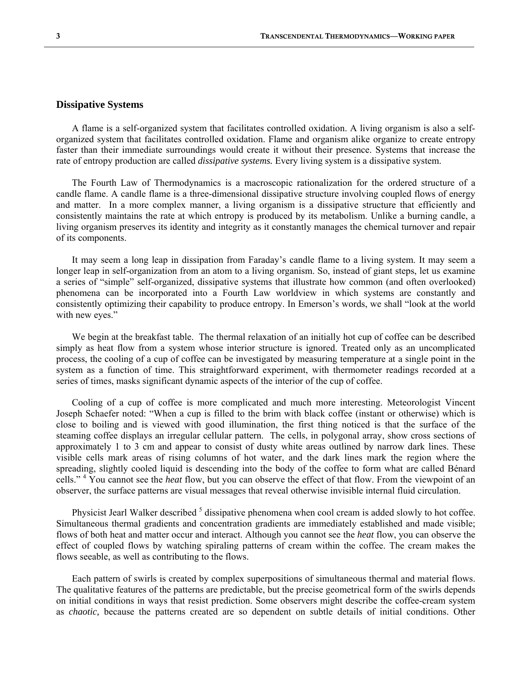#### **Dissipative Systems**

 A flame is a self-organized system that facilitates controlled oxidation. A living organism is also a selforganized system that facilitates controlled oxidation. Flame and organism alike organize to create entropy faster than their immediate surroundings would create it without their presence. Systems that increase the rate of entropy production are called *dissipative systems.* Every living system is a dissipative system.

 The Fourth Law of Thermodynamics is a macroscopic rationalization for the ordered structure of a candle flame. A candle flame is a three-dimensional dissipative structure involving coupled flows of energy and matter. In a more complex manner, a living organism is a dissipative structure that efficiently and consistently maintains the rate at which entropy is produced by its metabolism. Unlike a burning candle, a living organism preserves its identity and integrity as it constantly manages the chemical turnover and repair of its components.

 It may seem a long leap in dissipation from Faraday's candle flame to a living system. It may seem a longer leap in self-organization from an atom to a living organism. So, instead of giant steps, let us examine a series of "simple" self-organized, dissipative systems that illustrate how common (and often overlooked) phenomena can be incorporated into a Fourth Law worldview in which systems are constantly and consistently optimizing their capability to produce entropy. In Emerson's words, we shall "look at the world with new eyes."

 We begin at the breakfast table. The thermal relaxation of an initially hot cup of coffee can be described simply as heat flow from a system whose interior structure is ignored. Treated only as an uncomplicated process, the cooling of a cup of coffee can be investigated by measuring temperature at a single point in the system as a function of time. This straightforward experiment, with thermometer readings recorded at a series of times, masks significant dynamic aspects of the interior of the cup of coffee.

 Cooling of a cup of coffee is more complicated and much more interesting. Meteorologist Vincent Joseph Schaefer noted: "When a cup is filled to the brim with black coffee (instant or otherwise) which is close to boiling and is viewed with good illumination, the first thing noticed is that the surface of the steaming coffee displays an irregular cellular pattern. The cells, in polygonal array, show cross sections of approximately 1 to 3 cm and appear to consist of dusty white areas outlined by narrow dark lines. These visible cells mark areas of rising columns of hot water, and the dark lines mark the region where the spreading, slightly cooled liquid is descending into the body of the coffee to form what are called Bénard cells."<sup>4</sup> You cannot see the *heat* flow, but you can observe the effect of that flow. From the viewpoint of an observer, the surface patterns are visual messages that reveal otherwise invisible internal fluid circulation.

Physicist Jearl Walker described <sup>5</sup> dissipative phenomena when cool cream is added slowly to hot coffee. Simultaneous thermal gradients and concentration gradients are immediately established and made visible; flows of both heat and matter occur and interact. Although you cannot see the *heat* flow, you can observe the effect of coupled flows by watching spiraling patterns of cream within the coffee. The cream makes the flows seeable, as well as contributing to the flows.

 Each pattern of swirls is created by complex superpositions of simultaneous thermal and material flows. The qualitative features of the patterns are predictable, but the precise geometrical form of the swirls depends on initial conditions in ways that resist prediction. Some observers might describe the coffee-cream system as *chaotic,* because the patterns created are so dependent on subtle details of initial conditions. Other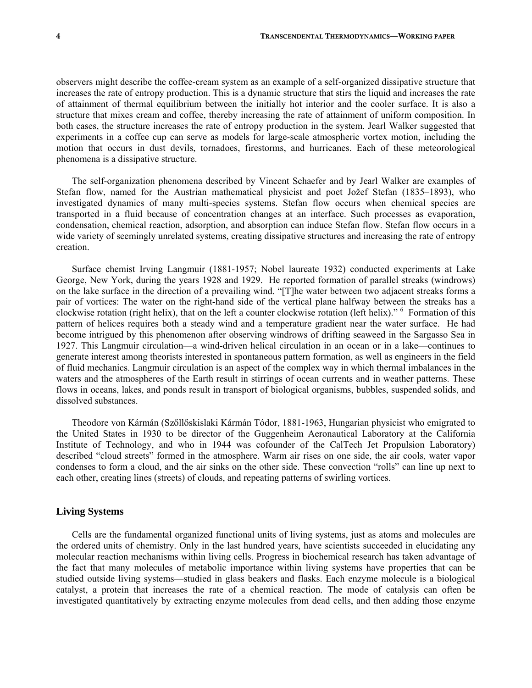observers might describe the coffee-cream system as an example of a self-organized dissipative structure that increases the rate of entropy production. This is a dynamic structure that stirs the liquid and increases the rate of attainment of thermal equilibrium between the initially hot interior and the cooler surface. It is also a structure that mixes cream and coffee, thereby increasing the rate of attainment of uniform composition. In both cases, the structure increases the rate of entropy production in the system. Jearl Walker suggested that experiments in a coffee cup can serve as models for large-scale atmospheric vortex motion, including the motion that occurs in dust devils, tornadoes, firestorms, and hurricanes. Each of these meteorological phenomena is a dissipative structure.

 The self-organization phenomena described by Vincent Schaefer and by Jearl Walker are examples of Stefan flow, named for the Austrian mathematical physicist and poet Jožef Stefan (1835–1893), who investigated dynamics of many multi-species systems. Stefan flow occurs when chemical species are transported in a fluid because of concentration changes at an interface. Such processes as evaporation, condensation, chemical reaction, adsorption, and absorption can induce Stefan flow. Stefan flow occurs in a wide variety of seemingly unrelated systems, creating dissipative structures and increasing the rate of entropy creation.

 Surface chemist Irving Langmuir (1881-1957; Nobel laureate 1932) conducted experiments at Lake George, New York, during the years 1928 and 1929. He reported formation of parallel streaks (windrows) on the lake surface in the direction of a prevailing wind. "[T]he water between two adjacent streaks forms a pair of vortices: The water on the right-hand side of the vertical plane halfway between the streaks has a clockwise rotation (right helix), that on the left a counter clockwise rotation (left helix)." <sup>6</sup> Formation of this pattern of helices requires both a steady wind and a temperature gradient near the water surface. He had become intrigued by this phenomenon after observing windrows of drifting seaweed in the Sargasso Sea in 1927. This Langmuir circulation—a wind-driven helical circulation in an ocean or in a lake—continues to generate interest among theorists interested in spontaneous pattern formation, as well as engineers in the field of fluid mechanics. Langmuir circulation is an aspect of the complex way in which thermal imbalances in the waters and the atmospheres of the Earth result in stirrings of ocean currents and in weather patterns. These flows in oceans, lakes, and ponds result in transport of biological organisms, bubbles, suspended solids, and dissolved substances.

 Theodore von Kármán (Szőllőskislaki Kármán Tódor, 1881-1963, Hungarian physicist who emigrated to the United States in 1930 to be director of the Guggenheim Aeronautical Laboratory at the California Institute of Technology, and who in 1944 was cofounder of the CalTech Jet Propulsion Laboratory) described "cloud streets" formed in the atmosphere. Warm air rises on one side, the air cools, water vapor condenses to form a cloud, and the air sinks on the other side. These convection "rolls" can line up next to each other, creating lines (streets) of clouds, and repeating patterns of swirling vortices.

#### **Living Systems**

 Cells are the fundamental organized functional units of living systems, just as atoms and molecules are the ordered units of chemistry. Only in the last hundred years, have scientists succeeded in elucidating any molecular reaction mechanisms within living cells. Progress in biochemical research has taken advantage of the fact that many molecules of metabolic importance within living systems have properties that can be studied outside living systems—studied in glass beakers and flasks. Each enzyme molecule is a biological catalyst, a protein that increases the rate of a chemical reaction. The mode of catalysis can often be investigated quantitatively by extracting enzyme molecules from dead cells, and then adding those enzyme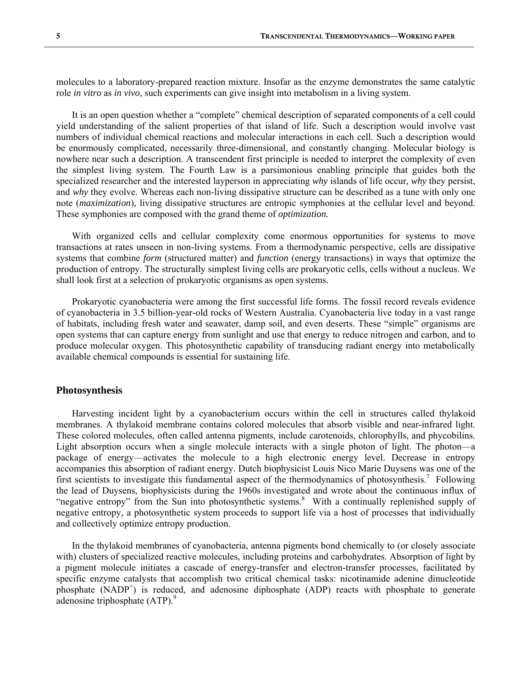molecules to a laboratory-prepared reaction mixture. Insofar as the enzyme demonstrates the same catalytic role *in vitro* as *in vivo,* such experiments can give insight into metabolism in a living system.

 It is an open question whether a "complete" chemical description of separated components of a cell could yield understanding of the salient properties of that island of life. Such a description would involve vast numbers of individual chemical reactions and molecular interactions in each cell. Such a description would be enormously complicated, necessarily three-dimensional, and constantly changing. Molecular biology is nowhere near such a description. A transcendent first principle is needed to interpret the complexity of even the simplest living system. The Fourth Law is a parsimonious enabling principle that guides both the specialized researcher and the interested layperson in appreciating *why* islands of life occur, *why* they persist, and *why* they evolve. Whereas each non-living dissipative structure can be described as a tune with only one note (*maximization*)*,* living dissipative structures are entropic symphonies at the cellular level and beyond. These symphonies are composed with the grand theme of *optimization.* 

 With organized cells and cellular complexity come enormous opportunities for systems to move transactions at rates unseen in non-living systems. From a thermodynamic perspective, cells are dissipative systems that combine *form* (structured matter) and *function* (energy transactions) in ways that optimize the production of entropy. The structurally simplest living cells are prokaryotic cells, cells without a nucleus. We shall look first at a selection of prokaryotic organisms as open systems.

 Prokaryotic cyanobacteria were among the first successful life forms. The fossil record reveals evidence of cyanobacteria in 3.5 billion-year-old rocks of Western Australia. Cyanobacteria live today in a vast range of habitats, including fresh water and seawater, damp soil, and even deserts. These "simple" organisms are open systems that can capture energy from sunlight and use that energy to reduce nitrogen and carbon, and to produce molecular oxygen. This photosynthetic capability of transducing radiant energy into metabolically available chemical compounds is essential for sustaining life.

#### **Photosynthesis**

 Harvesting incident light by a cyanobacterium occurs within the cell in structures called thylakoid membranes. A thylakoid membrane contains colored molecules that absorb visible and near-infrared light. These colored molecules, often called antenna pigments, include carotenoids, chlorophylls, and phycobilins. Light absorption occurs when a single molecule interacts with a single photon of light. The photon—a package of energy—activates the molecule to a high electronic energy level. Decrease in entropy accompanies this absorption of radiant energy. Dutch biophysicist Louis Nico Marie Duysens was one of the first scientists to investigate this fundamental aspect of the thermodynamics of photosynthesis.<sup>7</sup> Following the lead of Duysens, biophysicists during the 1960s investigated and wrote about the continuous influx of "negative entropy" from the Sun into photosynthetic systems.<sup>8</sup> With a continually replenished supply of negative entropy, a photosynthetic system proceeds to support life via a host of processes that individually and collectively optimize entropy production.

 In the thylakoid membranes of cyanobacteria, antenna pigments bond chemically to (or closely associate with) clusters of specialized reactive molecules, including proteins and carbohydrates. Absorption of light by a pigment molecule initiates a cascade of energy-transfer and electron-transfer processes, facilitated by specific enzyme catalysts that accomplish two critical chemical tasks: nicotinamide adenine dinucleotide  $p$ hosphate (NADP<sup>+</sup>) is reduced, and adenosine diphosphate (ADP) reacts with phosphate to generate adenosine triphosphate (ATP).<sup>9</sup>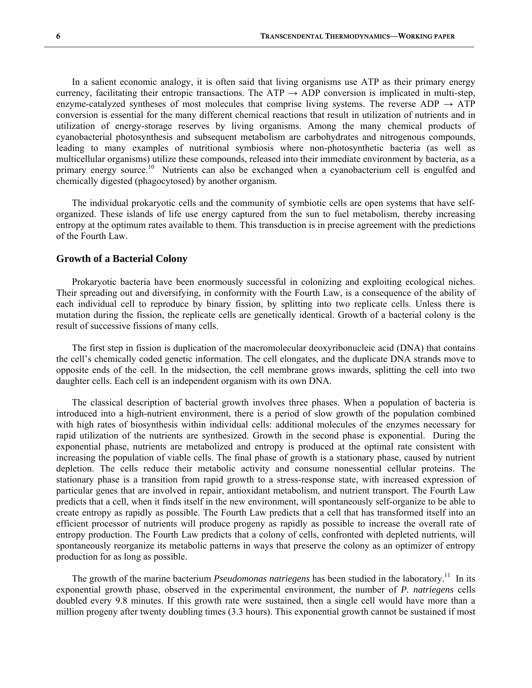In a salient economic analogy, it is often said that living organisms use ATP as their primary energy currency, facilitating their entropic transactions. The ATP  $\rightarrow$  ADP conversion is implicated in multi-step, enzyme-catalyzed syntheses of most molecules that comprise living systems. The reverse ADP  $\rightarrow$  ATP conversion is essential for the many different chemical reactions that result in utilization of nutrients and in utilization of energy-storage reserves by living organisms. Among the many chemical products of cyanobacterial photosynthesis and subsequent metabolism are carbohydrates and nitrogenous compounds, leading to many examples of nutritional symbiosis where non-photosynthetic bacteria (as well as multicellular organisms) utilize these compounds, released into their immediate environment by bacteria, as a primary energy source.<sup>10</sup> Nutrients can also be exchanged when a cyanobacterium cell is engulfed and chemically digested (phagocytosed) by another organism.

 The individual prokaryotic cells and the community of symbiotic cells are open systems that have selforganized. These islands of life use energy captured from the sun to fuel metabolism, thereby increasing entropy at the optimum rates available to them. This transduction is in precise agreement with the predictions of the Fourth Law.

#### **Growth of a Bacterial Colony**

 Prokaryotic bacteria have been enormously successful in colonizing and exploiting ecological niches. Their spreading out and diversifying, in conformity with the Fourth Law, is a consequence of the ability of each individual cell to reproduce by binary fission, by splitting into two replicate cells. Unless there is mutation during the fission, the replicate cells are genetically identical. Growth of a bacterial colony is the result of successive fissions of many cells.

 The first step in fission is duplication of the macromolecular deoxyribonucleic acid (DNA) that contains the cell's chemically coded genetic information. The cell elongates, and the duplicate DNA strands move to opposite ends of the cell. In the midsection, the cell membrane grows inwards, splitting the cell into two daughter cells. Each cell is an independent organism with its own DNA.

 The classical description of bacterial growth involves three phases. When a population of bacteria is introduced into a high-nutrient environment, there is a period of slow growth of the population combined with high rates of biosynthesis within individual cells: additional molecules of the enzymes necessary for rapid utilization of the nutrients are synthesized. Growth in the second phase is exponential. During the exponential phase, nutrients are metabolized and entropy is produced at the optimal rate consistent with increasing the population of viable cells. The final phase of growth is a stationary phase, caused by nutrient depletion. The cells reduce their metabolic activity and consume nonessential cellular proteins. The stationary phase is a transition from rapid growth to a stress-response state, with increased expression of particular genes that are involved in repair, antioxidant metabolism, and nutrient transport. The Fourth Law predicts that a cell, when it finds itself in the new environment, will spontaneously self-organize to be able to create entropy as rapidly as possible. The Fourth Law predicts that a cell that has transformed itself into an efficient processor of nutrients will produce progeny as rapidly as possible to increase the overall rate of entropy production. The Fourth Law predicts that a colony of cells, confronted with depleted nutrients, will spontaneously reorganize its metabolic patterns in ways that preserve the colony as an optimizer of entropy production for as long as possible.

The growth of the marine bacterium *Pseudomonas natriegens* has been studied in the laboratory.<sup>11</sup> In its exponential growth phase, observed in the experimental environment, the number of *P. natriegens* cells doubled every 9.8 minutes. If this growth rate were sustained, then a single cell would have more than a million progeny after twenty doubling times (3.3 hours). This exponential growth cannot be sustained if most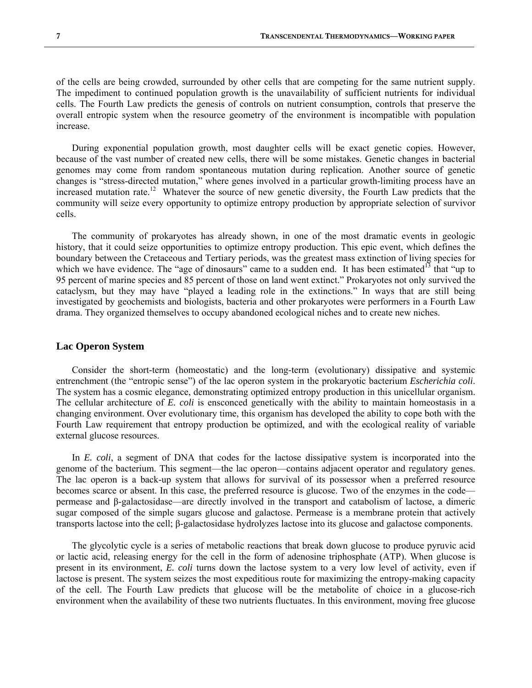of the cells are being crowded, surrounded by other cells that are competing for the same nutrient supply. The impediment to continued population growth is the unavailability of sufficient nutrients for individual cells. The Fourth Law predicts the genesis of controls on nutrient consumption, controls that preserve the overall entropic system when the resource geometry of the environment is incompatible with population increase.

 During exponential population growth, most daughter cells will be exact genetic copies. However, because of the vast number of created new cells, there will be some mistakes. Genetic changes in bacterial genomes may come from random spontaneous mutation during replication. Another source of genetic changes is "stress-directed mutation," where genes involved in a particular growth-limiting process have an increased mutation rate.<sup>12</sup> Whatever the source of new genetic diversity, the Fourth Law predicts that the community will seize every opportunity to optimize entropy production by appropriate selection of survivor cells.

 The community of prokaryotes has already shown, in one of the most dramatic events in geologic history, that it could seize opportunities to optimize entropy production. This epic event, which defines the boundary between the Cretaceous and Tertiary periods, was the greatest mass extinction of living species for which we have evidence. The "age of dinosaurs" came to a sudden end. It has been estimated<sup>13</sup> that "up to 95 percent of marine species and 85 percent of those on land went extinct." Prokaryotes not only survived the cataclysm, but they may have "played a leading role in the extinctions." In ways that are still being investigated by geochemists and biologists, bacteria and other prokaryotes were performers in a Fourth Law drama. They organized themselves to occupy abandoned ecological niches and to create new niches.

#### **Lac Operon System**

 Consider the short-term (homeostatic) and the long-term (evolutionary) dissipative and systemic entrenchment (the "entropic sense") of the lac operon system in the prokaryotic bacterium *Escherichia coli*. The system has a cosmic elegance, demonstrating optimized entropy production in this unicellular organism. The cellular architecture of *E. coli* is ensconced genetically with the ability to maintain homeostasis in a changing environment. Over evolutionary time, this organism has developed the ability to cope both with the Fourth Law requirement that entropy production be optimized, and with the ecological reality of variable external glucose resources.

 In *E. coli*, a segment of DNA that codes for the lactose dissipative system is incorporated into the genome of the bacterium. This segment—the lac operon—contains adjacent operator and regulatory genes. The lac operon is a back-up system that allows for survival of its possessor when a preferred resource becomes scarce or absent. In this case, the preferred resource is glucose. Two of the enzymes in the code permease and β-galactosidase—are directly involved in the transport and catabolism of lactose, a dimeric sugar composed of the simple sugars glucose and galactose. Permease is a membrane protein that actively transports lactose into the cell; β-galactosidase hydrolyzes lactose into its glucose and galactose components.

 The glycolytic cycle is a series of metabolic reactions that break down glucose to produce pyruvic acid or lactic acid, releasing energy for the cell in the form of adenosine triphosphate (ATP). When glucose is present in its environment, *E. coli* turns down the lactose system to a very low level of activity, even if lactose is present. The system seizes the most expeditious route for maximizing the entropy-making capacity of the cell. The Fourth Law predicts that glucose will be the metabolite of choice in a glucose-rich environment when the availability of these two nutrients fluctuates. In this environment, moving free glucose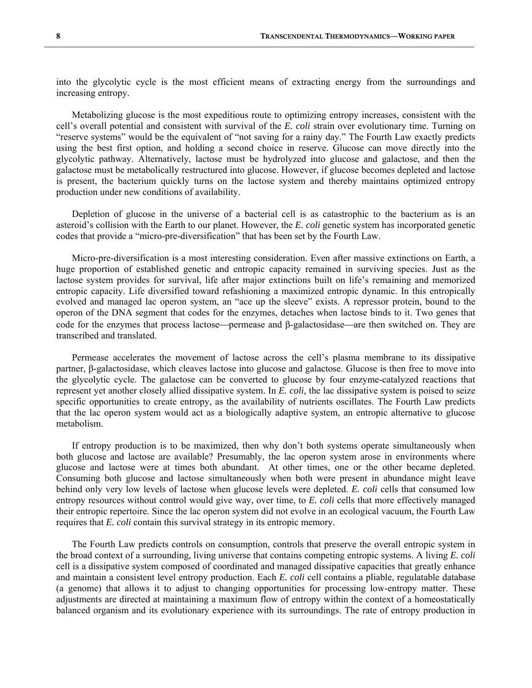into the glycolytic cycle is the most efficient means of extracting energy from the surroundings and increasing entropy.

 Metabolizing glucose is the most expeditious route to optimizing entropy increases, consistent with the cell's overall potential and consistent with survival of the *E. coli* strain over evolutionary time. Turning on "reserve systems" would be the equivalent of "not saving for a rainy day." The Fourth Law exactly predicts using the best first option, and holding a second choice in reserve. Glucose can move directly into the glycolytic pathway. Alternatively, lactose must be hydrolyzed into glucose and galactose, and then the galactose must be metabolically restructured into glucose. However, if glucose becomes depleted and lactose is present, the bacterium quickly turns on the lactose system and thereby maintains optimized entropy production under new conditions of availability.

 Depletion of glucose in the universe of a bacterial cell is as catastrophic to the bacterium as is an asteroid's collision with the Earth to our planet. However, the *E. coli* genetic system has incorporated genetic codes that provide a "micro-pre-diversification" that has been set by the Fourth Law.

 Micro-pre-diversification is a most interesting consideration. Even after massive extinctions on Earth, a huge proportion of established genetic and entropic capacity remained in surviving species. Just as the lactose system provides for survival, life after major extinctions built on life's remaining and memorized entropic capacity. Life diversified toward refashioning a maximized entropic dynamic. In this entropically evolved and managed lac operon system, an "ace up the sleeve" exists. A repressor protein, bound to the operon of the DNA segment that codes for the enzymes, detaches when lactose binds to it. Two genes that code for the enzymes that process lactose—permease and  $\beta$ -galactosidase—are then switched on. They are transcribed and translated.

 Permease accelerates the movement of lactose across the cell's plasma membrane to its dissipative partner, β-galactosidase, which cleaves lactose into glucose and galactose. Glucose is then free to move into the glycolytic cycle. The galactose can be converted to glucose by four enzyme-catalyzed reactions that represent yet another closely allied dissipative system. In *E. coli,* the lac dissipative system is poised to seize specific opportunities to create entropy, as the availability of nutrients oscillates. The Fourth Law predicts that the lac operon system would act as a biologically adaptive system, an entropic alternative to glucose metabolism.

 If entropy production is to be maximized, then why don't both systems operate simultaneously when both glucose and lactose are available? Presumably, the lac operon system arose in environments where glucose and lactose were at times both abundant. At other times, one or the other became depleted. Consuming both glucose and lactose simultaneously when both were present in abundance might leave behind only very low levels of lactose when glucose levels were depleted. *E. coli* cells that consumed low entropy resources without control would give way, over time, to *E. coli* cells that more effectively managed their entropic repertoire. Since the lac operon system did not evolve in an ecological vacuum, the Fourth Law requires that *E. coli* contain this survival strategy in its entropic memory.

 The Fourth Law predicts controls on consumption, controls that preserve the overall entropic system in the broad context of a surrounding, living universe that contains competing entropic systems. A living *E. coli* cell is a dissipative system composed of coordinated and managed dissipative capacities that greatly enhance and maintain a consistent level entropy production. Each *E. coli* cell contains a pliable, regulatable database (a genome) that allows it to adjust to changing opportunities for processing low-entropy matter. These adjustments are directed at maintaining a maximum flow of entropy within the context of a homeostatically balanced organism and its evolutionary experience with its surroundings. The rate of entropy production in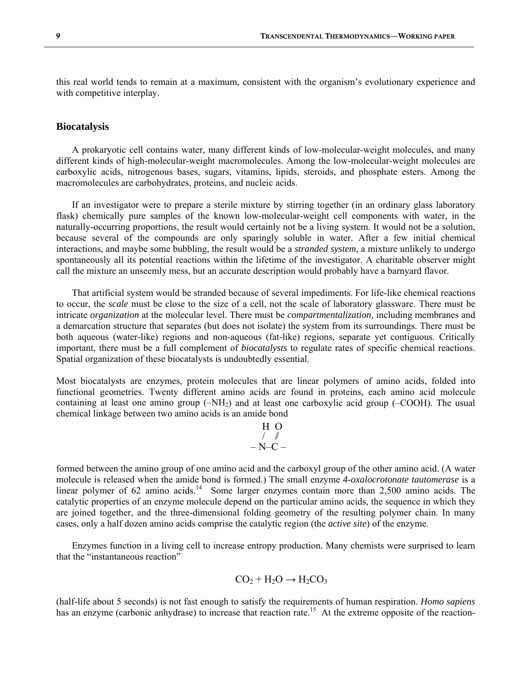this real world tends to remain at a maximum, consistent with the organism's evolutionary experience and with competitive interplay.

#### **Biocatalysis**

 A prokaryotic cell contains water, many different kinds of low-molecular-weight molecules, and many different kinds of high-molecular-weight macromolecules. Among the low-molecular-weight molecules are carboxylic acids, nitrogenous bases, sugars, vitamins, lipids, steroids, and phosphate esters. Among the macromolecules are carbohydrates, proteins, and nucleic acids.

 If an investigator were to prepare a sterile mixture by stirring together (in an ordinary glass laboratory flask) chemically pure samples of the known low-molecular-weight cell components with water, in the naturally-occurring proportions, the result would certainly not be a living system. It would not be a solution, because several of the compounds are only sparingly soluble in water. After a few initial chemical interactions, and maybe some bubbling, the result would be a *stranded system,* a mixture unlikely to undergo spontaneously all its potential reactions within the lifetime of the investigator. A charitable observer might call the mixture an unseemly mess, but an accurate description would probably have a barnyard flavor.

 That artificial system would be stranded because of several impediments. For life-like chemical reactions to occur, the *scale* must be close to the size of a cell, not the scale of laboratory glassware. There must be intricate *organization* at the molecular level. There must be *compartmentalization,* including membranes and a demarcation structure that separates (but does not isolate) the system from its surroundings. There must be both aqueous (water-like) regions and non-aqueous (fat-like) regions, separate yet contiguous. Critically important, there must be a full complement of *biocatalysts* to regulate rates of specific chemical reactions. Spatial organization of these biocatalysts is undoubtedly essential.

Most biocatalysts are enzymes, protein molecules that are linear polymers of amino acids, folded into functional geometries. Twenty different amino acids are found in proteins, each amino acid molecule containing at least one amino group  $(-NH<sub>2</sub>)$  and at least one carboxylic acid group  $(-COOH)$ . The usual chemical linkage between two amino acids is an amide bond

$$
\begin{array}{c}\nH & O \\
\hline\n\end{array}
$$

formed between the amino group of one amino acid and the carboxyl group of the other amino acid. (A water molecule is released when the amide bond is formed.) The small enzyme *4-oxalocrotonate tautomerase* is a linear polymer of 62 amino acids.<sup>14</sup> Some larger enzymes contain more than 2,500 amino acids. The catalytic properties of an enzyme molecule depend on the particular amino acids, the sequence in which they are joined together, and the three-dimensional folding geometry of the resulting polymer chain. In many cases, only a half dozen amino acids comprise the catalytic region (the *active site*) of the enzyme.

 Enzymes function in a living cell to increase entropy production. Many chemists were surprised to learn that the "instantaneous reaction"

$$
CO_2 + H_2O \rightarrow H_2CO_3
$$

(half-life about 5 seconds) is not fast enough to satisfy the requirements of human respiration. *Homo sapiens* has an enzyme (carbonic anhydrase) to increase that reaction rate.<sup>15</sup> At the extreme opposite of the reaction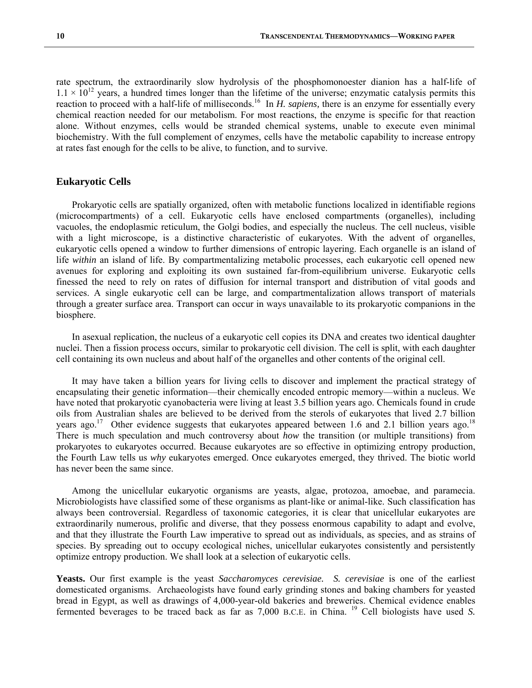rate spectrum, the extraordinarily slow hydrolysis of the phosphomonoester dianion has a half-life of  $1.1 \times 10^{12}$  years, a hundred times longer than the lifetime of the universe; enzymatic catalysis permits this reaction to proceed with a half-life of milliseconds.<sup>16</sup> In *H. sapiens*, there is an enzyme for essentially every chemical reaction needed for our metabolism. For most reactions, the enzyme is specific for that reaction alone. Without enzymes, cells would be stranded chemical systems, unable to execute even minimal biochemistry. With the full complement of enzymes, cells have the metabolic capability to increase entropy at rates fast enough for the cells to be alive, to function, and to survive.

#### **Eukaryotic Cells**

 Prokaryotic cells are spatially organized, often with metabolic functions localized in identifiable regions (microcompartments) of a cell. Eukaryotic cells have enclosed compartments (organelles), including vacuoles, the endoplasmic reticulum, the Golgi bodies, and especially the nucleus. The cell nucleus, visible with a light microscope, is a distinctive characteristic of eukaryotes. With the advent of organelles, eukaryotic cells opened a window to further dimensions of entropic layering. Each organelle is an island of life *within* an island of life. By compartmentalizing metabolic processes, each eukaryotic cell opened new avenues for exploring and exploiting its own sustained far-from-equilibrium universe. Eukaryotic cells finessed the need to rely on rates of diffusion for internal transport and distribution of vital goods and services. A single eukaryotic cell can be large, and compartmentalization allows transport of materials through a greater surface area. Transport can occur in ways unavailable to its prokaryotic companions in the biosphere.

 In asexual replication, the nucleus of a eukaryotic cell copies its DNA and creates two identical daughter nuclei. Then a fission process occurs, similar to prokaryotic cell division. The cell is split, with each daughter cell containing its own nucleus and about half of the organelles and other contents of the original cell.

 It may have taken a billion years for living cells to discover and implement the practical strategy of encapsulating their genetic information—their chemically encoded entropic memory—within a nucleus. We have noted that prokaryotic cyanobacteria were living at least 3.5 billion years ago. Chemicals found in crude oils from Australian shales are believed to be derived from the sterols of eukaryotes that lived 2.7 billion years ago.<sup>17</sup> Other evidence suggests that eukaryotes appeared between 1.6 and 2.1 billion years ago.<sup>18</sup> There is much speculation and much controversy about *how* the transition (or multiple transitions) from prokaryotes to eukaryotes occurred. Because eukaryotes are so effective in optimizing entropy production, the Fourth Law tells us *why* eukaryotes emerged. Once eukaryotes emerged, they thrived. The biotic world has never been the same since.

 Among the unicellular eukaryotic organisms are yeasts, algae, protozoa, amoebae, and paramecia. Microbiologists have classified some of these organisms as plant-like or animal-like. Such classification has always been controversial. Regardless of taxonomic categories, it is clear that unicellular eukaryotes are extraordinarily numerous, prolific and diverse, that they possess enormous capability to adapt and evolve, and that they illustrate the Fourth Law imperative to spread out as individuals, as species, and as strains of species. By spreading out to occupy ecological niches, unicellular eukaryotes consistently and persistently optimize entropy production. We shall look at a selection of eukaryotic cells.

**Yeasts.** Our first example is the yeast *Saccharomyces cerevisiae. S. cerevisiae* is one of the earliest domesticated organisms. Archaeologists have found early grinding stones and baking chambers for yeasted bread in Egypt, as well as drawings of 4,000-year-old bakeries and breweries. Chemical evidence enables fermented beverages to be traced back as far as 7,000 B.C.E. in China. <sup>19</sup> Cell biologists have used *S*.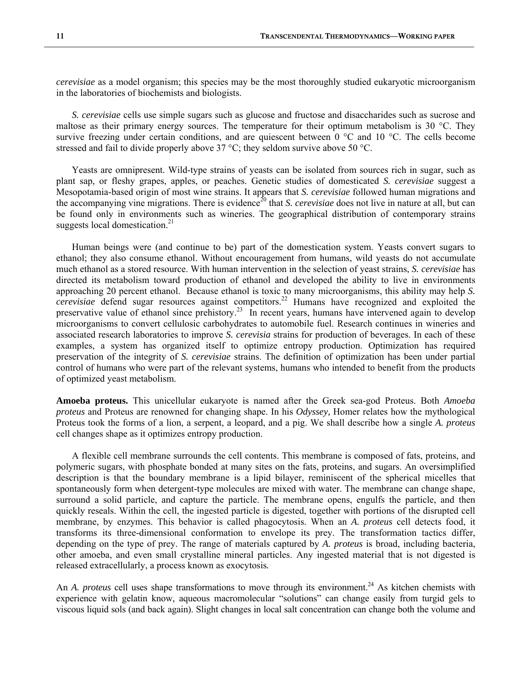*cerevisiae* as a model organism; this species may be the most thoroughly studied eukaryotic microorganism in the laboratories of biochemists and biologists.

 *S. cerevisiae* cells use simple sugars such as glucose and fructose and disaccharides such as sucrose and maltose as their primary energy sources. The temperature for their optimum metabolism is 30 °C. They survive freezing under certain conditions, and are quiescent between 0 °C and 10 °C. The cells become stressed and fail to divide properly above 37 °C; they seldom survive above 50 °C.

 Yeasts are omnipresent. Wild-type strains of yeasts can be isolated from sources rich in sugar, such as plant sap, or fleshy grapes, apples, or peaches. Genetic studies of domesticated *S. cerevisiae* suggest a Mesopotamia-based origin of most wine strains. It appears that *S. cerevisiae* followed human migrations and the accompanying vine migrations. There is evidence<sup>20</sup> that *S. cerevisiae* does not live in nature at all, but can be found only in environments such as wineries. The geographical distribution of contemporary strains suggests local domestication. $21$ 

 Human beings were (and continue to be) part of the domestication system. Yeasts convert sugars to ethanol; they also consume ethanol. Without encouragement from humans, wild yeasts do not accumulate much ethanol as a stored resource. With human intervention in the selection of yeast strains, *S. cerevisiae* has directed its metabolism toward production of ethanol and developed the ability to live in environments approaching 20 percent ethanol. Because ethanol is toxic to many microorganisms, this ability may help *S. cerevisiae* defend sugar resources against competitors.<sup>22</sup> Humans have recognized and exploited the preservative value of ethanol since prehistory.<sup>23</sup> In recent years, humans have intervened again to develop microorganisms to convert cellulosic carbohydrates to automobile fuel. Research continues in wineries and associated research laboratories to improve *S. cerevisia* strains for production of beverages. In each of these examples, a system has organized itself to optimize entropy production. Optimization has required preservation of the integrity of *S. cerevisiae* strains. The definition of optimization has been under partial control of humans who were part of the relevant systems, humans who intended to benefit from the products of optimized yeast metabolism.

**Amoeba proteus.** This unicellular eukaryote is named after the Greek sea-god Proteus. Both *Amoeba proteus* and Proteus are renowned for changing shape. In his *Odyssey,* Homer relates how the mythological Proteus took the forms of a lion, a serpent, a leopard, and a pig. We shall describe how a single *A. proteus* cell changes shape as it optimizes entropy production.

 A flexible cell membrane surrounds the cell contents. This membrane is composed of fats, proteins, and polymeric sugars, with phosphate bonded at many sites on the fats, proteins, and sugars. An oversimplified description is that the boundary membrane is a lipid bilayer, reminiscent of the spherical micelles that spontaneously form when detergent-type molecules are mixed with water. The membrane can change shape, surround a solid particle, and capture the particle. The membrane opens, engulfs the particle, and then quickly reseals. Within the cell, the ingested particle is digested, together with portions of the disrupted cell membrane, by enzymes. This behavior is called phagocytosis. When an *A. proteus* cell detects food, it transforms its three-dimensional conformation to envelope its prey. The transformation tactics differ, depending on the type of prey. The range of materials captured by *A. proteus* is broad, including bacteria, other amoeba, and even small crystalline mineral particles. Any ingested material that is not digested is released extracellularly, a process known as exocytosis*.*

An *A. proteus* cell uses shape transformations to move through its environment.<sup>24</sup> As kitchen chemists with experience with gelatin know, aqueous macromolecular "solutions" can change easily from turgid gels to viscous liquid sols (and back again). Slight changes in local salt concentration can change both the volume and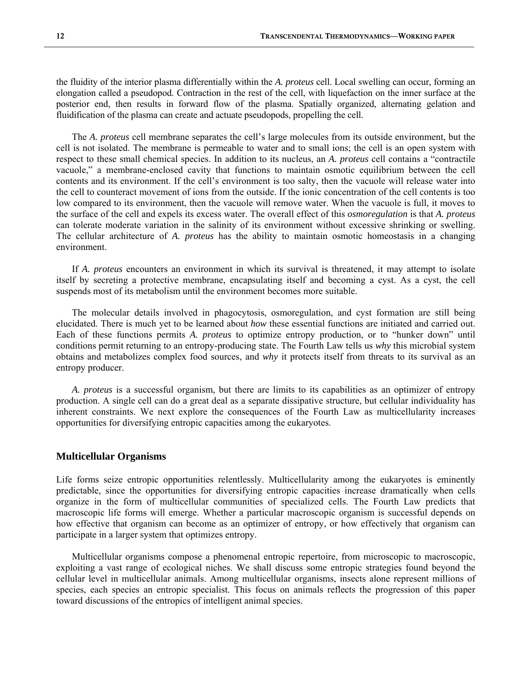the fluidity of the interior plasma differentially within the *A. proteus* cell. Local swelling can occur, forming an elongation called a pseudopod. Contraction in the rest of the cell, with liquefaction on the inner surface at the posterior end, then results in forward flow of the plasma. Spatially organized, alternating gelation and fluidification of the plasma can create and actuate pseudopods, propelling the cell.

 The *A. proteus* cell membrane separates the cell's large molecules from its outside environment, but the cell is not isolated. The membrane is permeable to water and to small ions; the cell is an open system with respect to these small chemical species. In addition to its nucleus, an *A. proteus* cell contains a "contractile vacuole," a membrane-enclosed cavity that functions to maintain osmotic equilibrium between the cell contents and its environment. If the cell's environment is too salty, then the vacuole will release water into the cell to counteract movement of ions from the outside. If the ionic concentration of the cell contents is too low compared to its environment, then the vacuole will remove water. When the vacuole is full, it moves to the surface of the cell and expels its excess water. The overall effect of this *osmoregulation* is that *A. proteus*  can tolerate moderate variation in the salinity of its environment without excessive shrinking or swelling. The cellular architecture of *A. proteus* has the ability to maintain osmotic homeostasis in a changing environment.

 If *A. proteus* encounters an environment in which its survival is threatened, it may attempt to isolate itself by secreting a protective membrane, encapsulating itself and becoming a cyst. As a cyst, the cell suspends most of its metabolism until the environment becomes more suitable.

 The molecular details involved in phagocytosis, osmoregulation, and cyst formation are still being elucidated. There is much yet to be learned about *how* these essential functions are initiated and carried out. Each of these functions permits *A. proteus* to optimize entropy production, or to "hunker down" until conditions permit returning to an entropy-producing state. The Fourth Law tells us *why* this microbial system obtains and metabolizes complex food sources, and *why* it protects itself from threats to its survival as an entropy producer.

 *A. proteus* is a successful organism, but there are limits to its capabilities as an optimizer of entropy production. A single cell can do a great deal as a separate dissipative structure, but cellular individuality has inherent constraints. We next explore the consequences of the Fourth Law as multicellularity increases opportunities for diversifying entropic capacities among the eukaryotes.

#### **Multicellular Organisms**

Life forms seize entropic opportunities relentlessly. Multicellularity among the eukaryotes is eminently predictable, since the opportunities for diversifying entropic capacities increase dramatically when cells organize in the form of multicellular communities of specialized cells. The Fourth Law predicts that macroscopic life forms will emerge. Whether a particular macroscopic organism is successful depends on how effective that organism can become as an optimizer of entropy, or how effectively that organism can participate in a larger system that optimizes entropy.

 Multicellular organisms compose a phenomenal entropic repertoire, from microscopic to macroscopic, exploiting a vast range of ecological niches. We shall discuss some entropic strategies found beyond the cellular level in multicellular animals. Among multicellular organisms, insects alone represent millions of species, each species an entropic specialist. This focus on animals reflects the progression of this paper toward discussions of the entropics of intelligent animal species.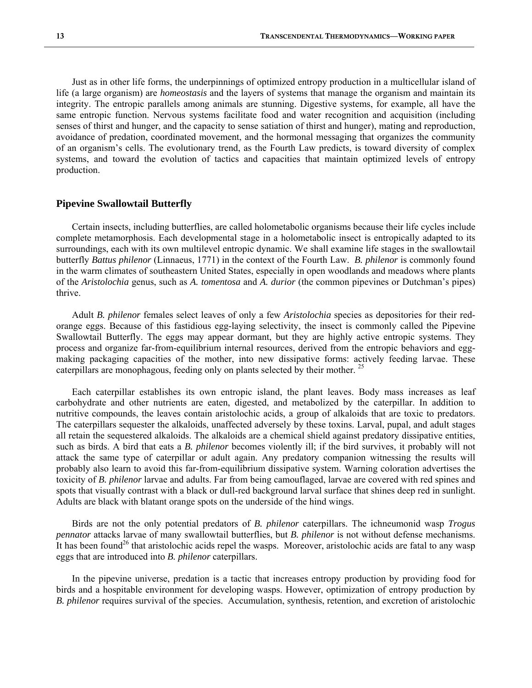Just as in other life forms, the underpinnings of optimized entropy production in a multicellular island of life (a large organism) are *homeostasis* and the layers of systems that manage the organism and maintain its integrity. The entropic parallels among animals are stunning. Digestive systems, for example, all have the same entropic function. Nervous systems facilitate food and water recognition and acquisition (including senses of thirst and hunger, and the capacity to sense satiation of thirst and hunger), mating and reproduction, avoidance of predation, coordinated movement, and the hormonal messaging that organizes the community of an organism's cells. The evolutionary trend, as the Fourth Law predicts, is toward diversity of complex systems, and toward the evolution of tactics and capacities that maintain optimized levels of entropy production.

#### **Pipevine Swallowtail Butterfly**

 Certain insects, including butterflies, are called holometabolic organisms because their life cycles include complete metamorphosis. Each developmental stage in a holometabolic insect is entropically adapted to its surroundings, each with its own multilevel entropic dynamic. We shall examine life stages in the swallowtail butterfly *Battus philenor* (Linnaeus, 1771) in the context of the Fourth Law. *B. philenor* is commonly found in the warm climates of southeastern United States, especially in open woodlands and meadows where plants of the *Aristolochia* genus, such as *A. tomentosa* and *A. durior* (the common pipevines or Dutchman's pipes) thrive.

 Adult *B. philenor* females select leaves of only a few *Aristolochia* species as depositories for their redorange eggs. Because of this fastidious egg-laying selectivity, the insect is commonly called the Pipevine Swallowtail Butterfly. The eggs may appear dormant, but they are highly active entropic systems. They process and organize far-from-equilibrium internal resources, derived from the entropic behaviors and eggmaking packaging capacities of the mother, into new dissipative forms: actively feeding larvae. These caterpillars are monophagous, feeding only on plants selected by their mother.<sup>25</sup>

 Each caterpillar establishes its own entropic island, the plant leaves. Body mass increases as leaf carbohydrate and other nutrients are eaten, digested, and metabolized by the caterpillar. In addition to nutritive compounds, the leaves contain aristolochic acids, a group of alkaloids that are toxic to predators. The caterpillars sequester the alkaloids, unaffected adversely by these toxins. Larval, pupal, and adult stages all retain the sequestered alkaloids. The alkaloids are a chemical shield against predatory dissipative entities, such as birds. A bird that eats a *B. philenor* becomes violently ill; if the bird survives, it probably will not attack the same type of caterpillar or adult again. Any predatory companion witnessing the results will probably also learn to avoid this far-from-equilibrium dissipative system. Warning coloration advertises the toxicity of *B. philenor* larvae and adults. Far from being camouflaged, larvae are covered with red spines and spots that visually contrast with a black or dull-red background larval surface that shines deep red in sunlight. Adults are black with blatant orange spots on the underside of the hind wings.

 Birds are not the only potential predators of *B. philenor* caterpillars. The ichneumonid wasp *Trogus pennator* attacks larvae of many swallowtail butterflies, but *B. philenor* is not without defense mechanisms. It has been found<sup>26</sup> that aristolochic acids repel the wasps. Moreover, aristolochic acids are fatal to any wasp eggs that are introduced into *B. philenor* caterpillars.

 In the pipevine universe, predation is a tactic that increases entropy production by providing food for birds and a hospitable environment for developing wasps. However, optimization of entropy production by *B. philenor* requires survival of the species. Accumulation, synthesis, retention, and excretion of aristolochic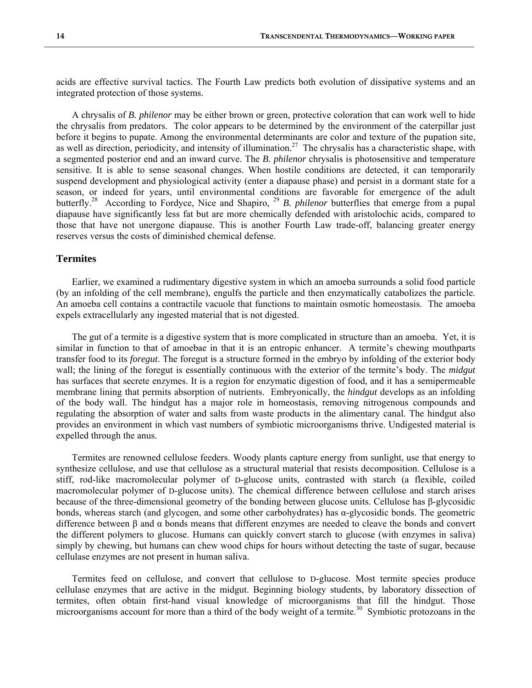acids are effective survival tactics. The Fourth Law predicts both evolution of dissipative systems and an integrated protection of those systems.

 A chrysalis of *B. philenor* may be either brown or green, protective coloration that can work well to hide the chrysalis from predators. The color appears to be determined by the environment of the caterpillar just before it begins to pupate. Among the environmental determinants are color and texture of the pupation site, as well as direction, periodicity, and intensity of illumination.<sup>27</sup> The chrysalis has a characteristic shape, with a segmented posterior end and an inward curve. The *B. philenor* chrysalis is photosensitive and temperature sensitive. It is able to sense seasonal changes. When hostile conditions are detected, it can temporarily suspend development and physiological activity (enter a diapause phase) and persist in a dormant state for a season, or indeed for years, until environmental conditions are favorable for emergence of the adult butterfly.28 According to Fordyce, Nice and Shapiro, 29 *B. philenor* butterflies that emerge from a pupal diapause have significantly less fat but are more chemically defended with aristolochic acids, compared to those that have not unergone diapause. This is another Fourth Law trade-off, balancing greater energy reserves versus the costs of diminished chemical defense.

#### **Termites**

 Earlier, we examined a rudimentary digestive system in which an amoeba surrounds a solid food particle (by an infolding of the cell membrane), engulfs the particle and then enzymatically catabolizes the particle. An amoeba cell contains a contractile vacuole that functions to maintain osmotic homeostasis. The amoeba expels extracellularly any ingested material that is not digested.

 The gut of a termite is a digestive system that is more complicated in structure than an amoeba. Yet, it is similar in function to that of amoebae in that it is an entropic enhancer. A termite's chewing mouthparts transfer food to its *foregut*. The foregut is a structure formed in the embryo by infolding of the exterior body wall; the lining of the foregut is essentially continuous with the exterior of the termite's body. The *midgut* has surfaces that secrete enzymes. It is a region for enzymatic digestion of food, and it has a semipermeable membrane lining that permits absorption of nutrients. Embryonically, the *hindgut* develops as an infolding of the body wall. The hindgut has a major role in homeostasis, removing nitrogenous compounds and regulating the absorption of water and salts from waste products in the alimentary canal. The hindgut also provides an environment in which vast numbers of symbiotic microorganisms thrive. Undigested material is expelled through the anus.

 Termites are renowned cellulose feeders. Woody plants capture energy from sunlight, use that energy to synthesize cellulose, and use that cellulose as a structural material that resists decomposition. Cellulose is a stiff, rod-like macromolecular polymer of D-glucose units, contrasted with starch (a flexible, coiled macromolecular polymer of D-glucose units). The chemical difference between cellulose and starch arises because of the three-dimensional geometry of the bonding between glucose units. Cellulose has β-glycosidic bonds, whereas starch (and glycogen, and some other carbohydrates) has α-glycosidic bonds. The geometric difference between β and α bonds means that different enzymes are needed to cleave the bonds and convert the different polymers to glucose. Humans can quickly convert starch to glucose (with enzymes in saliva) simply by chewing, but humans can chew wood chips for hours without detecting the taste of sugar, because cellulase enzymes are not present in human saliva.

 Termites feed on cellulose, and convert that cellulose to D-glucose. Most termite species produce cellulase enzymes that are active in the midgut. Beginning biology students, by laboratory dissection of termites, often obtain first-hand visual knowledge of microorganisms that fill the hindgut. Those microorganisms account for more than a third of the body weight of a termite.<sup>30</sup> Symbiotic protozoans in the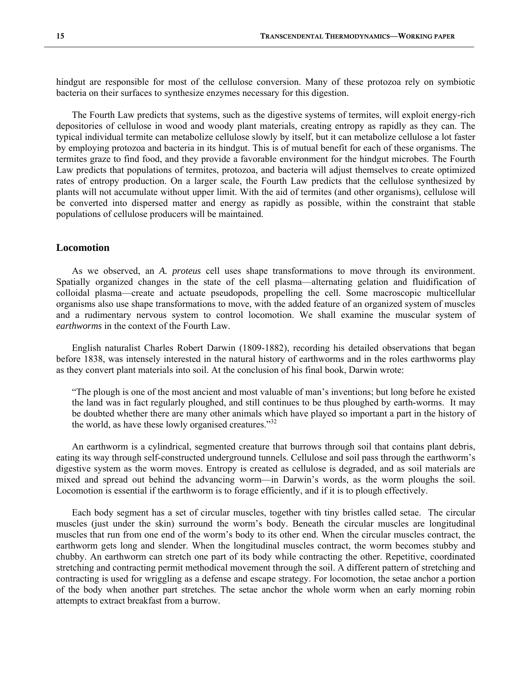hindgut are responsible for most of the cellulose conversion. Many of these protozoa rely on symbiotic bacteria on their surfaces to synthesize enzymes necessary for this digestion.

 The Fourth Law predicts that systems, such as the digestive systems of termites, will exploit energy-rich depositories of cellulose in wood and woody plant materials, creating entropy as rapidly as they can. The typical individual termite can metabolize cellulose slowly by itself, but it can metabolize cellulose a lot faster by employing protozoa and bacteria in its hindgut. This is of mutual benefit for each of these organisms. The termites graze to find food, and they provide a favorable environment for the hindgut microbes. The Fourth Law predicts that populations of termites, protozoa, and bacteria will adjust themselves to create optimized rates of entropy production. On a larger scale, the Fourth Law predicts that the cellulose synthesized by plants will not accumulate without upper limit. With the aid of termites (and other organisms), cellulose will be converted into dispersed matter and energy as rapidly as possible, within the constraint that stable populations of cellulose producers will be maintained.

#### **Locomotion**

 As we observed, an *A. proteus* cell uses shape transformations to move through its environment. Spatially organized changes in the state of the cell plasma—alternating gelation and fluidification of colloidal plasma—create and actuate pseudopods, propelling the cell. Some macroscopic multicellular organisms also use shape transformations to move, with the added feature of an organized system of muscles and a rudimentary nervous system to control locomotion. We shall examine the muscular system of *earthworms* in the context of the Fourth Law.

 English naturalist Charles Robert Darwin (1809-1882), recording his detailed observations that began before 1838, was intensely interested in the natural history of earthworms and in the roles earthworms play as they convert plant materials into soil. At the conclusion of his final book, Darwin wrote:

"The plough is one of the most ancient and most valuable of man's inventions; but long before he existed the land was in fact regularly ploughed, and still continues to be thus ploughed by earth-worms. It may be doubted whether there are many other animals which have played so important a part in the history of the world, as have these lowly organised creatures."<sup>32</sup>

 An earthworm is a cylindrical, segmented creature that burrows through soil that contains plant debris, eating its way through self-constructed underground tunnels. Cellulose and soil pass through the earthworm's digestive system as the worm moves. Entropy is created as cellulose is degraded, and as soil materials are mixed and spread out behind the advancing worm—in Darwin's words, as the worm ploughs the soil. Locomotion is essential if the earthworm is to forage efficiently, and if it is to plough effectively.

 Each body segment has a set of circular muscles, together with tiny bristles called setae. The circular muscles (just under the skin) surround the worm's body. Beneath the circular muscles are longitudinal muscles that run from one end of the worm's body to its other end. When the circular muscles contract, the earthworm gets long and slender. When the longitudinal muscles contract, the worm becomes stubby and chubby. An earthworm can stretch one part of its body while contracting the other. Repetitive, coordinated stretching and contracting permit methodical movement through the soil. A different pattern of stretching and contracting is used for wriggling as a defense and escape strategy. For locomotion, the setae anchor a portion of the body when another part stretches. The setae anchor the whole worm when an early morning robin attempts to extract breakfast from a burrow.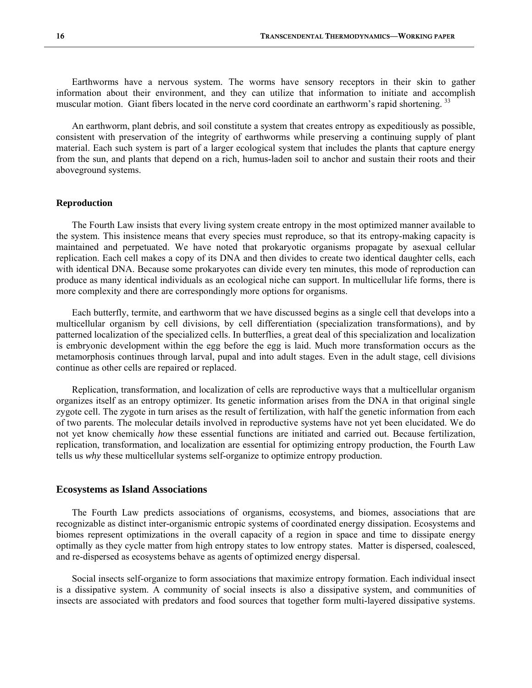Earthworms have a nervous system. The worms have sensory receptors in their skin to gather information about their environment, and they can utilize that information to initiate and accomplish muscular motion. Giant fibers located in the nerve cord coordinate an earthworm's rapid shortening.<sup>33</sup>

 An earthworm, plant debris, and soil constitute a system that creates entropy as expeditiously as possible, consistent with preservation of the integrity of earthworms while preserving a continuing supply of plant material. Each such system is part of a larger ecological system that includes the plants that capture energy from the sun, and plants that depend on a rich, humus-laden soil to anchor and sustain their roots and their aboveground systems.

#### **Reproduction**

 The Fourth Law insists that every living system create entropy in the most optimized manner available to the system. This insistence means that every species must reproduce, so that its entropy-making capacity is maintained and perpetuated. We have noted that prokaryotic organisms propagate by asexual cellular replication. Each cell makes a copy of its DNA and then divides to create two identical daughter cells, each with identical DNA. Because some prokaryotes can divide every ten minutes, this mode of reproduction can produce as many identical individuals as an ecological niche can support. In multicellular life forms, there is more complexity and there are correspondingly more options for organisms.

 Each butterfly, termite, and earthworm that we have discussed begins as a single cell that develops into a multicellular organism by cell divisions, by cell differentiation (specialization transformations), and by patterned localization of the specialized cells. In butterflies, a great deal of this specialization and localization is embryonic development within the egg before the egg is laid. Much more transformation occurs as the metamorphosis continues through larval, pupal and into adult stages. Even in the adult stage, cell divisions continue as other cells are repaired or replaced.

 Replication, transformation, and localization of cells are reproductive ways that a multicellular organism organizes itself as an entropy optimizer. Its genetic information arises from the DNA in that original single zygote cell. The zygote in turn arises as the result of fertilization, with half the genetic information from each of two parents. The molecular details involved in reproductive systems have not yet been elucidated. We do not yet know chemically *how* these essential functions are initiated and carried out. Because fertilization, replication, transformation, and localization are essential for optimizing entropy production, the Fourth Law tells us *why* these multicellular systems self-organize to optimize entropy production.

#### **Ecosystems as Island Associations**

 The Fourth Law predicts associations of organisms, ecosystems, and biomes, associations that are recognizable as distinct inter-organismic entropic systems of coordinated energy dissipation. Ecosystems and biomes represent optimizations in the overall capacity of a region in space and time to dissipate energy optimally as they cycle matter from high entropy states to low entropy states. Matter is dispersed, coalesced, and re-dispersed as ecosystems behave as agents of optimized energy dispersal.

 Social insects self-organize to form associations that maximize entropy formation. Each individual insect is a dissipative system. A community of social insects is also a dissipative system, and communities of insects are associated with predators and food sources that together form multi-layered dissipative systems.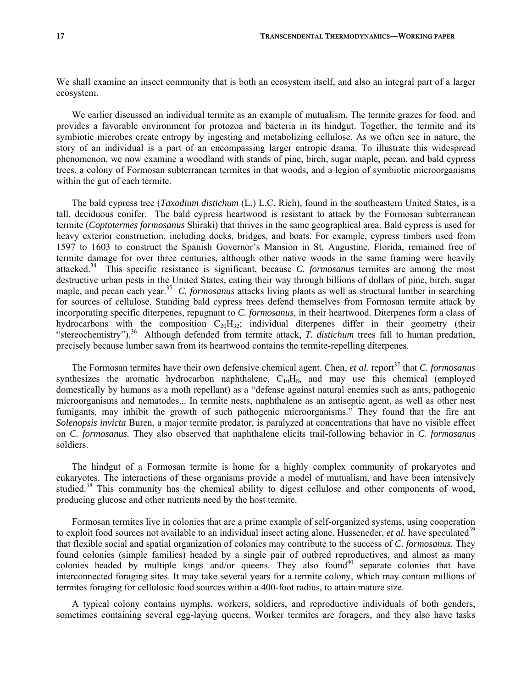We shall examine an insect community that is both an ecosystem itself, and also an integral part of a larger ecosystem.

 We earlier discussed an individual termite as an example of mutualism. The termite grazes for food, and provides a favorable environment for protozoa and bacteria in its hindgut. Together, the termite and its symbiotic microbes create entropy by ingesting and metabolizing cellulose. As we often see in nature, the story of an individual is a part of an encompassing larger entropic drama. To illustrate this widespread phenomenon, we now examine a woodland with stands of pine, birch, sugar maple, pecan, and bald cypress trees, a colony of Formosan subterranean termites in that woods, and a legion of symbiotic microorganisms within the gut of each termite.

 The bald cypress tree (*Taxodium distichum* (L.) L.C. Rich), found in the southeastern United States, is a tall, deciduous conifer. The bald cypress heartwood is resistant to attack by the Formosan subterranean termite (*Coptotermes formosanus* Shiraki) that thrives in the same geographical area. Bald cypress is used for heavy exterior construction, including docks, bridges, and boats. For example, cypress timbers used from 1597 to 1603 to construct the Spanish Governor's Mansion in St. Augustine, Florida, remained free of termite damage for over three centuries, although other native woods in the same framing were heavily attacked.34 This specific resistance is significant, because *C. formosanus* termites are among the most destructive urban pests in the United States, eating their way through billions of dollars of pine, birch, sugar maple, and pecan each year.<sup>35</sup> *C. formosanus* attacks living plants as well as structural lumber in searching for sources of cellulose. Standing bald cypress trees defend themselves from Formosan termite attack by incorporating specific diterpenes, repugnant to *C. formosanus,* in their heartwood. Diterpenes form a class of hydrocarbons with the composition  $C_{20}H_{32}$ ; individual diterpenes differ in their geometry (their "stereochemistry").<sup>36</sup> Although defended from termite attack, *T. distichum* trees fall to human predation, precisely because lumber sawn from its heartwood contains the termite-repelling diterpenes.

The Formosan termites have their own defensive chemical agent. Chen, *et al.* report<sup>37</sup> that *C. formosanus* synthesizes the aromatic hydrocarbon naphthalene,  $C_{10}H_8$ , and may use this chemical (employed domestically by humans as a moth repellant) as a "defense against natural enemies such as ants, pathogenic microorganisms and nematodes... In termite nests, naphthalene as an antiseptic agent, as well as other nest fumigants, may inhibit the growth of such pathogenic microorganisms." They found that the fire ant *Solenopsis invicta* Buren, a major termite predator, is paralyzed at concentrations that have no visible effect on *C. formosanus.* They also observed that naphthalene elicits trail-following behavior in *C. formosanus* soldiers.

 The hindgut of a Formosan termite is home for a highly complex community of prokaryotes and eukaryotes. The interactions of these organisms provide a model of mutualism, and have been intensively studied.<sup>38</sup> This community has the chemical ability to digest cellulose and other components of wood, producing glucose and other nutrients need by the host termite.

 Formosan termites live in colonies that are a prime example of self-organized systems, using cooperation to exploit food sources not available to an individual insect acting alone. Husseneder, *et al.* have speculated<sup>39</sup> that flexible social and spatial organization of colonies may contribute to the success of *C. formosanus.* They found colonies (simple families) headed by a single pair of outbred reproductives, and almost as many colonies headed by multiple kings and/or queens. They also found<sup>40</sup> separate colonies that have interconnected foraging sites. It may take several years for a termite colony, which may contain millions of termites foraging for cellulosic food sources within a 400-foot radius, to attain mature size.

 A typical colony contains nymphs, workers, soldiers, and reproductive individuals of both genders, sometimes containing several egg-laying queens. Worker termites are foragers, and they also have tasks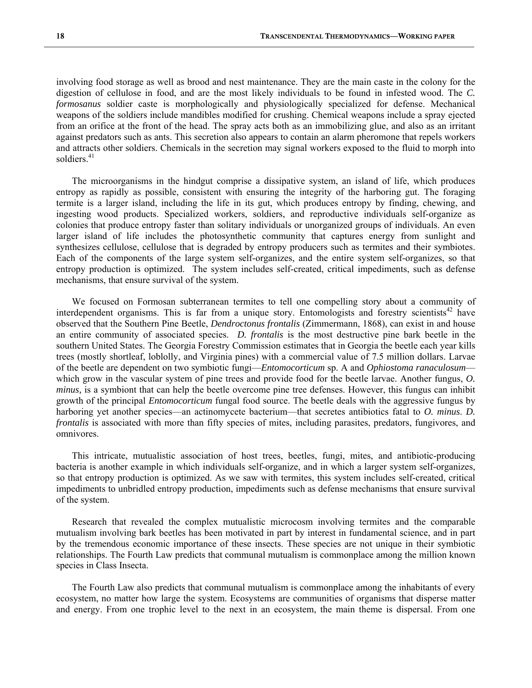involving food storage as well as brood and nest maintenance. They are the main caste in the colony for the digestion of cellulose in food, and are the most likely individuals to be found in infested wood. The *C. formosanus* soldier caste is morphologically and physiologically specialized for defense. Mechanical weapons of the soldiers include mandibles modified for crushing. Chemical weapons include a spray ejected from an orifice at the front of the head. The spray acts both as an immobilizing glue, and also as an irritant against predators such as ants. This secretion also appears to contain an alarm pheromone that repels workers and attracts other soldiers. Chemicals in the secretion may signal workers exposed to the fluid to morph into soldiers<sup>41</sup>

 The microorganisms in the hindgut comprise a dissipative system, an island of life, which produces entropy as rapidly as possible, consistent with ensuring the integrity of the harboring gut. The foraging termite is a larger island, including the life in its gut, which produces entropy by finding, chewing, and ingesting wood products. Specialized workers, soldiers, and reproductive individuals self-organize as colonies that produce entropy faster than solitary individuals or unorganized groups of individuals. An even larger island of life includes the photosynthetic community that captures energy from sunlight and synthesizes cellulose, cellulose that is degraded by entropy producers such as termites and their symbiotes. Each of the components of the large system self-organizes, and the entire system self-organizes, so that entropy production is optimized. The system includes self-created, critical impediments, such as defense mechanisms, that ensure survival of the system.

 We focused on Formosan subterranean termites to tell one compelling story about a community of interdependent organisms. This is far from a unique story. Entomologists and forestry scientists<sup>42</sup> have observed that the Southern Pine Beetle, *Dendroctonus frontalis* (Zimmermann, 1868), can exist in and house an entire community of associated species. *D. frontalis* is the most destructive pine bark beetle in the southern United States. The Georgia Forestry Commission estimates that in Georgia the beetle each year kills trees (mostly shortleaf, loblolly, and Virginia pines) with a commercial value of 7.5 million dollars. Larvae of the beetle are dependent on two symbiotic fungi—*Entomocorticum* sp. A and *Ophiostoma ranaculosum* which grow in the vascular system of pine trees and provide food for the beetle larvae. Another fungus, *O. minus,* is a symbiont that can help the beetle overcome pine tree defenses. However, this fungus can inhibit growth of the principal *Entomocorticum* fungal food source. The beetle deals with the aggressive fungus by harboring yet another species—an actinomycete bacterium—that secretes antibiotics fatal to *O. minus. D. frontalis* is associated with more than fifty species of mites, including parasites, predators, fungivores, and omnivores.

 This intricate, mutualistic association of host trees, beetles, fungi, mites, and antibiotic-producing bacteria is another example in which individuals self-organize, and in which a larger system self-organizes, so that entropy production is optimized. As we saw with termites, this system includes self-created, critical impediments to unbridled entropy production, impediments such as defense mechanisms that ensure survival of the system.

 Research that revealed the complex mutualistic microcosm involving termites and the comparable mutualism involving bark beetles has been motivated in part by interest in fundamental science, and in part by the tremendous economic importance of these insects. These species are not unique in their symbiotic relationships. The Fourth Law predicts that communal mutualism is commonplace among the million known species in Class Insecta.

 The Fourth Law also predicts that communal mutualism is commonplace among the inhabitants of every ecosystem, no matter how large the system. Ecosystems are communities of organisms that disperse matter and energy. From one trophic level to the next in an ecosystem, the main theme is dispersal. From one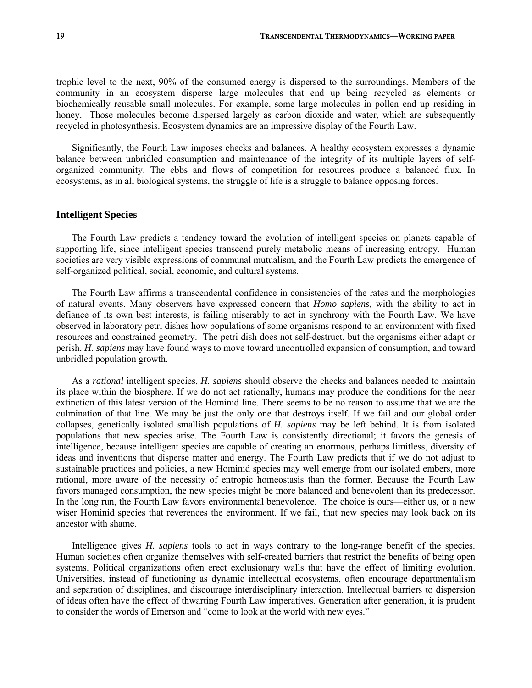trophic level to the next, 90% of the consumed energy is dispersed to the surroundings. Members of the community in an ecosystem disperse large molecules that end up being recycled as elements or biochemically reusable small molecules. For example, some large molecules in pollen end up residing in honey. Those molecules become dispersed largely as carbon dioxide and water, which are subsequently recycled in photosynthesis. Ecosystem dynamics are an impressive display of the Fourth Law.

 Significantly, the Fourth Law imposes checks and balances. A healthy ecosystem expresses a dynamic balance between unbridled consumption and maintenance of the integrity of its multiple layers of selforganized community. The ebbs and flows of competition for resources produce a balanced flux. In ecosystems, as in all biological systems, the struggle of life is a struggle to balance opposing forces.

#### **Intelligent Species**

 The Fourth Law predicts a tendency toward the evolution of intelligent species on planets capable of supporting life, since intelligent species transcend purely metabolic means of increasing entropy. Human societies are very visible expressions of communal mutualism, and the Fourth Law predicts the emergence of self-organized political, social, economic, and cultural systems.

 The Fourth Law affirms a transcendental confidence in consistencies of the rates and the morphologies of natural events. Many observers have expressed concern that *Homo sapiens,* with the ability to act in defiance of its own best interests, is failing miserably to act in synchrony with the Fourth Law. We have observed in laboratory petri dishes how populations of some organisms respond to an environment with fixed resources and constrained geometry. The petri dish does not self-destruct, but the organisms either adapt or perish. *H. sapiens* may have found ways to move toward uncontrolled expansion of consumption, and toward unbridled population growth.

 As a *rational* intelligent species, *H. sapiens* should observe the checks and balances needed to maintain its place within the biosphere. If we do not act rationally, humans may produce the conditions for the near extinction of this latest version of the Hominid line. There seems to be no reason to assume that we are the culmination of that line. We may be just the only one that destroys itself. If we fail and our global order collapses, genetically isolated smallish populations of *H. sapiens* may be left behind. It is from isolated populations that new species arise. The Fourth Law is consistently directional; it favors the genesis of intelligence, because intelligent species are capable of creating an enormous, perhaps limitless, diversity of ideas and inventions that disperse matter and energy. The Fourth Law predicts that if we do not adjust to sustainable practices and policies, a new Hominid species may well emerge from our isolated embers, more rational, more aware of the necessity of entropic homeostasis than the former. Because the Fourth Law favors managed consumption, the new species might be more balanced and benevolent than its predecessor. In the long run, the Fourth Law favors environmental benevolence. The choice is ours—either us, or a new wiser Hominid species that reverences the environment. If we fail, that new species may look back on its ancestor with shame.

 Intelligence gives *H. sapiens* tools to act in ways contrary to the long-range benefit of the species. Human societies often organize themselves with self-created barriers that restrict the benefits of being open systems. Political organizations often erect exclusionary walls that have the effect of limiting evolution. Universities, instead of functioning as dynamic intellectual ecosystems, often encourage departmentalism and separation of disciplines, and discourage interdisciplinary interaction. Intellectual barriers to dispersion of ideas often have the effect of thwarting Fourth Law imperatives. Generation after generation, it is prudent to consider the words of Emerson and "come to look at the world with new eyes."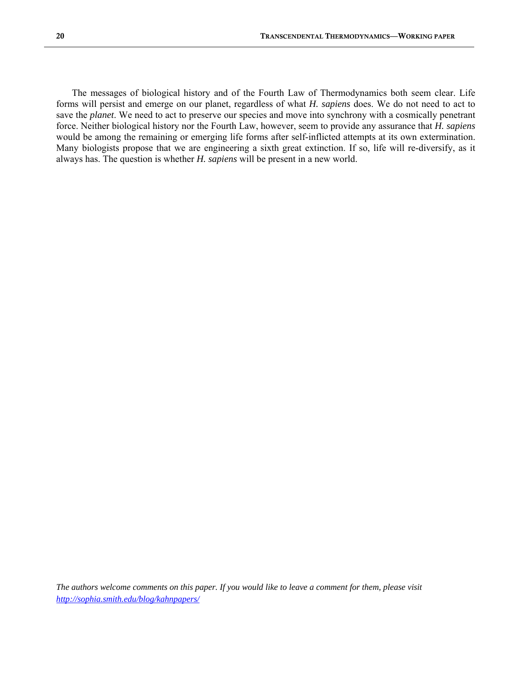The messages of biological history and of the Fourth Law of Thermodynamics both seem clear. Life forms will persist and emerge on our planet, regardless of what *H. sapiens* does. We do not need to act to save the *planet*. We need to act to preserve our species and move into synchrony with a cosmically penetrant force. Neither biological history nor the Fourth Law, however, seem to provide any assurance that *H. sapiens* would be among the remaining or emerging life forms after self-inflicted attempts at its own extermination. Many biologists propose that we are engineering a sixth great extinction. If so, life will re-diversify, as it always has. The question is whether *H. sapiens* will be present in a new world.

*The authors welcome comments on this paper. If you would like to leave a comment for them, please visit http://sophia.smith.edu/blog/kahnpapers/*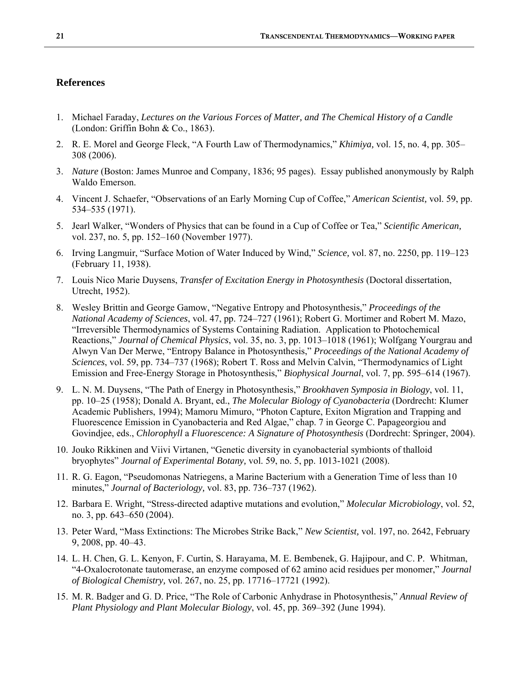#### **References**

- 1. Michael Faraday, *Lectures on the Various Forces of Matter, and The Chemical History of a Candle* (London: Griffin Bohn & Co., 1863).
- 2. R. E. Morel and George Fleck, "A Fourth Law of Thermodynamics," *Khimiya,* vol. 15, no. 4, pp. 305– 308 (2006).
- 3. *Nature* (Boston: James Munroe and Company, 1836; 95 pages). Essay published anonymously by Ralph Waldo Emerson.
- 4. Vincent J. Schaefer, "Observations of an Early Morning Cup of Coffee," *American Scientist,* vol. 59, pp. 534–535 (1971).
- 5. Jearl Walker, "Wonders of Physics that can be found in a Cup of Coffee or Tea," *Scientific American,*  vol. 237, no. 5, pp. 152–160 (November 1977).
- 6. Irving Langmuir, "Surface Motion of Water Induced by Wind," *Science,* vol. 87, no. 2250, pp. 119–123 (February 11, 1938).
- 7. Louis Nico Marie Duysens, *Transfer of Excitation Energy in Photosynthesis* (Doctoral dissertation, Utrecht, 1952).
- 8. Wesley Brittin and George Gamow, "Negative Entropy and Photosynthesis," *Proceedings of the National Academy of Sciences*, vol. 47, pp. 724–727 (1961); Robert G. Mortimer and Robert M. Mazo, "Irreversible Thermodynamics of Systems Containing Radiation. Application to Photochemical Reactions," *Journal of Chemical Physics*, vol. 35, no. 3, pp. 1013–1018 (1961); Wolfgang Yourgrau and Alwyn Van Der Merwe, "Entropy Balance in Photosynthesis," *Proceedings of the National Academy of Sciences*, vol. 59, pp. 734–737 (1968); Robert T. Ross and Melvin Calvin, "Thermodynamics of Light Emission and Free-Energy Storage in Photosynthesis," *Biophysical Journal*, vol. 7, pp. 595–614 (1967).
- 9. L. N. M. Duysens, "The Path of Energy in Photosynthesis," *Brookhaven Symposia in Biology*, vol. 11, pp. 10–25 (1958); Donald A. Bryant, ed., *The Molecular Biology of Cyanobacteria* (Dordrecht: Klumer Academic Publishers, 1994); Mamoru Mimuro, "Photon Capture, Exiton Migration and Trapping and Fluorescence Emission in Cyanobacteria and Red Algae," chap. 7 in George C. Papageorgiou and Govindjee, eds., *Chlorophyll* a *Fluorescence: A Signature of Photosynthesis* (Dordrecht: Springer, 2004).
- 10. Jouko Rikkinen and Viivi Virtanen, "Genetic diversity in cyanobacterial symbionts of thalloid bryophytes" *Journal of Experimental Botany,* vol. 59, no. 5, pp. 1013-1021 (2008).
- 11. R. G. Eagon, "Pseudomonas Natriegens, a Marine Bacterium with a Generation Time of less than 10 minutes," *Journal of Bacteriology,* vol. 83, pp. 736–737 (1962).
- 12. Barbara E. Wright, "Stress-directed adaptive mutations and evolution," *Molecular Microbiology*, vol. 52, no. 3, pp. 643–650 (2004).
- 13. Peter Ward, "Mass Extinctions: The Microbes Strike Back," *New Scientist,* vol. 197, no. 2642, February 9, 2008, pp. 40–43.
- 14. L. H. Chen, G. L. Kenyon, F. Curtin, S. Harayama, M. E. Bembenek, G. Hajipour, and C. P. Whitman, "4-Oxalocrotonate tautomerase, an enzyme composed of 62 amino acid residues per monomer," *Journal of Biological Chemistry,* vol. 267, no. 25, pp. 17716–17721 (1992).
- 15. M. R. Badger and G. D. Price, "The Role of Carbonic Anhydrase in Photosynthesis," *Annual Review of Plant Physiology and Plant Molecular Biology*, vol. 45, pp. 369–392 (June 1994).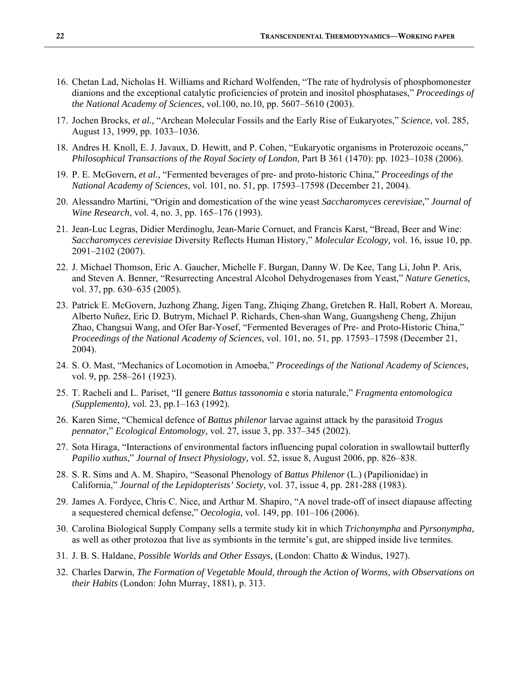- 16. Chetan Lad, Nicholas H. Williams and Richard Wolfenden, "The rate of hydrolysis of phosphomonester dianions and the exceptional catalytic proficiencies of protein and inositol phosphatases," *Proceedings of the National Academy of Sciences,* vol.100, no.10, pp. 5607–5610 (2003).
- 17. Jochen Brocks, *et al.,* "Archean Molecular Fossils and the Early Rise of Eukaryotes," *Science*, vol. 285, August 13, 1999, pp. 1033–1036.
- 18. Andres H. Knoll, E. J. Javaux, D. Hewitt, and P. Cohen, "Eukaryotic organisms in Proterozoic oceans," *Philosophical Transactions of the Royal Society of London*, Part B 361 (1470): pp. 1023–1038 (2006).
- 19. P. E. McGovern, *et al.,* "Fermented beverages of pre- and proto-historic China," *Proceedings of the National Academy of Sciences,* vol. 101, no. 51, pp. 17593–17598 (December 21, 2004).
- 20. Alessandro Martini, "Origin and domestication of the wine yeast *Saccharomyces cerevisiae,*" *Journal of Wine Research*, vol. 4, no. 3, pp. 165–176 (1993).
- 21. Jean-Luc Legras, Didier Merdinoglu, Jean-Marie Cornuet, and Francis Karst, "Bread, Beer and Wine: *Saccharomyces cerevisiae* Diversity Reflects Human History," *Molecular Ecology,* vol. 16, issue 10, pp. 2091–2102 (2007).
- 22. J. Michael Thomson, Eric A. Gaucher, Michelle F. Burgan, Danny W. De Kee, Tang Li, John P. Aris, and Steven A. Benner, "Resurrecting Ancestral Alcohol Dehydrogenases from Yeast," *Nature Genetics,* vol. 37, pp. 630–635 (2005).
- 23. Patrick E. McGovern, Juzhong Zhang, Jigen Tang, Zhiqing Zhang, Gretchen R. Hall, Robert A. Moreau, Alberto Nuñez, Eric D. Butrym, Michael P. Richards, Chen-shan Wang, Guangsheng Cheng, Zhijun Zhao, Changsui Wang, and Ofer Bar-Yosef, "Fermented Beverages of Pre- and Proto-Historic China," *Proceedings of the National Academy of Sciences,* vol. 101, no. 51, pp. 17593–17598 (December 21, 2004).
- 24. S. O. Mast, "Mechanics of Locomotion in Amoeba," *Proceedings of the National Academy of Sciences,*  vol. 9, pp. 258–261 (1923).
- 25. T. Racheli and L. Pariset, "II genere *Battus tassonomia* e storia naturale," *Fragmenta entomologica (Supplemento),* vol. 23, pp.1–163 (1992).
- 26. Karen Sime, "Chemical defence of *Battus philenor* larvae against attack by the parasitoid *Trogus pennator,*" *Ecological Entomology,* vol. 27, issue 3, pp. 337–345 (2002).
- 27. Sota Hiraga, "Interactions of environmental factors influencing pupal coloration in swallowtail butterfly *Papilio xuthus*," *Journal of Insect Physiology,* vol. 52, issue 8, August 2006, pp. 826–838.
- 28. S. R. Sims and A. M. Shapiro, "Seasonal Phenology of *Battus Philenor* (L.) (Papilionidae) in California," *Journal of the Lepidopterists' Society,* vol. 37, issue 4, pp. 281-288 (1983).
- 29. James A. Fordyce, Chris C. Nice, and Arthur M. Shapiro, "A novel trade-off of insect diapause affecting a sequestered chemical defense," *Oecologia,* vol. 149, pp. 101–106 (2006).
- 30. Carolina Biological Supply Company sells a termite study kit in which *Trichonympha* and *Pyrsonympha,* as well as other protozoa that live as symbionts in the termite's gut, are shipped inside live termites.
- 31. J. B. S. Haldane, *Possible Worlds and Other Essays,* (London: Chatto & Windus, 1927).
- 32. Charles Darwin, *The Formation of Vegetable Mould, through the Action of Worms, with Observations on their Habits* (London: John Murray, 1881), p. 313.